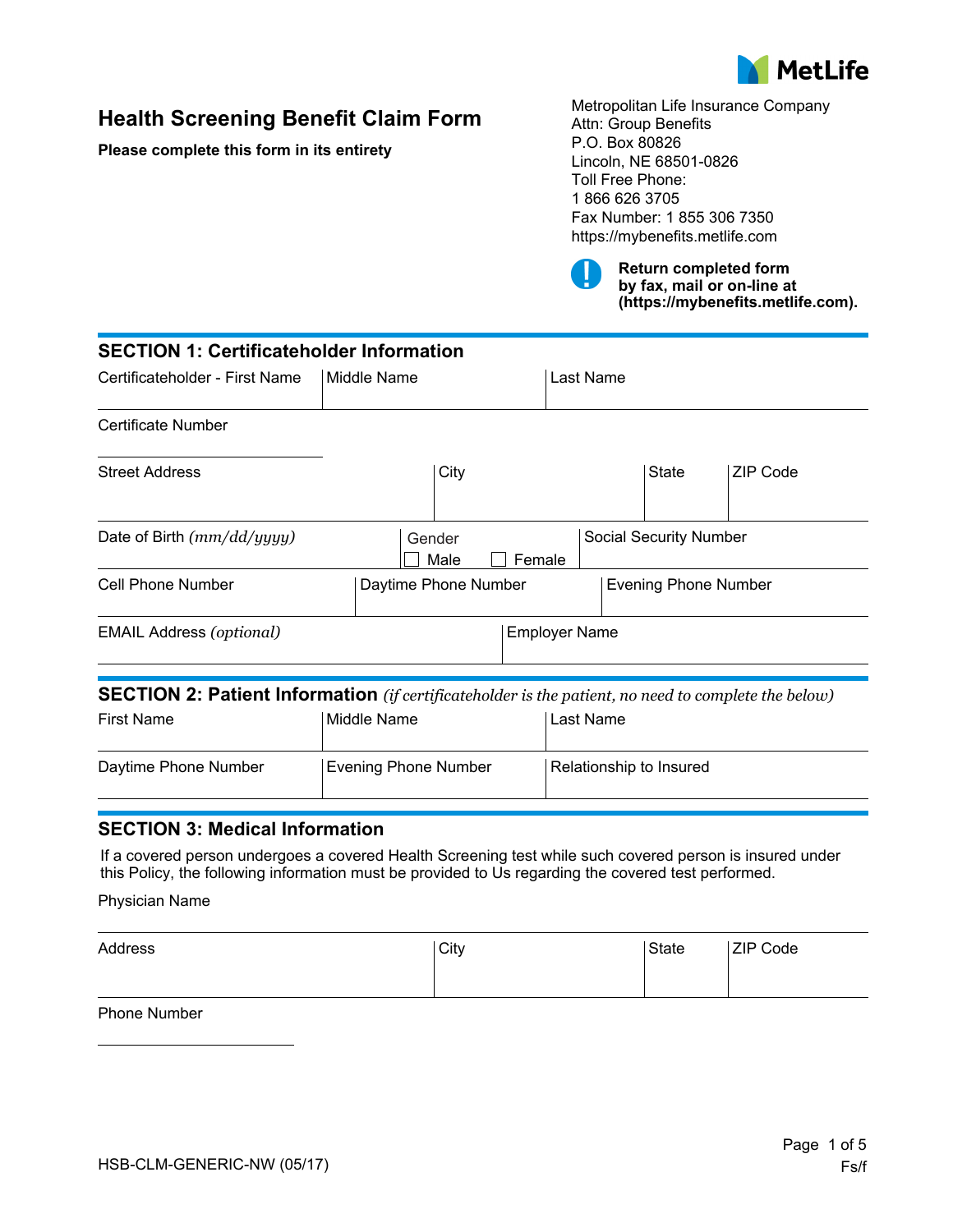

# **Health Screening Benefit Claim Form**

**Please complete this form in its entirety** 

Metropolitan Life Insurance Company Attn: Group Benefits P.O. Box 80826 Lincoln, NE 68501-0826 Toll Free Phone: 1 866 626 3705 Fax Number: 1 855 306 7350 https://mybenefits.metlife.com



**Return completed form by fax, mail or on-line at (https://mybenefits.metlife.com).**

| <b>SECTION 1: Certificateholder Information</b> |                             |                                                                                                            |  |
|-------------------------------------------------|-----------------------------|------------------------------------------------------------------------------------------------------------|--|
| Certificateholder - First Name                  | Middle Name                 | Last Name                                                                                                  |  |
| <b>Certificate Number</b>                       |                             |                                                                                                            |  |
| <b>Street Address</b>                           | City                        | State<br>ZIP Code                                                                                          |  |
| Date of Birth (mm/dd/yyyy)                      | Gender<br>Male              | <b>Social Security Number</b><br>Female                                                                    |  |
| Cell Phone Number                               | Daytime Phone Number        | <b>Evening Phone Number</b>                                                                                |  |
| <b>EMAIL Address (optional)</b>                 | <b>Employer Name</b>        |                                                                                                            |  |
|                                                 |                             | <b>SECTION 2: Patient Information</b> (if certificateholder is the patient, no need to complete the below) |  |
| <b>First Name</b>                               | Middle Name                 | Last Name                                                                                                  |  |
| Daytime Phone Number                            | <b>Evening Phone Number</b> | Relationship to Insured                                                                                    |  |

## **SECTION 3: Medical Information**

If a covered person undergoes a covered Health Screening test while such covered person is insured under this Policy, the following information must be provided to Us regarding the covered test performed.

Physician Name

| Address | City | <b>ZIP Code</b><br><b>State</b> |
|---------|------|---------------------------------|
|         |      |                                 |

Phone Number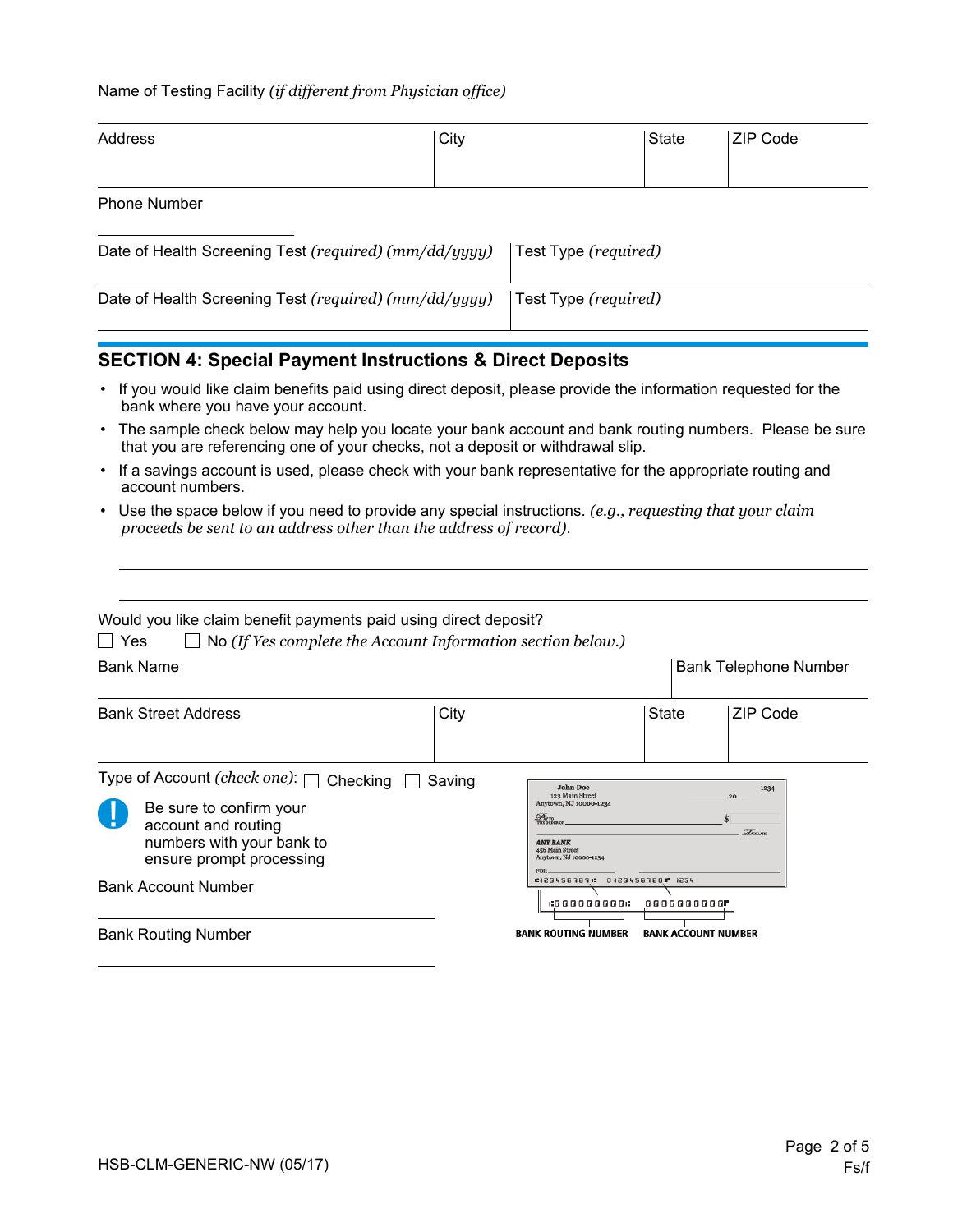#### Name of Testing Facility *(if different from Physician office)*

| Address             | City | State | <b>ZIP Code</b> |
|---------------------|------|-------|-----------------|
| <b>Phone Number</b> |      |       |                 |

| Date of Health Screening Test (required) (mm/dd/yyyy) | Test Type (required) |
|-------------------------------------------------------|----------------------|
| Date of Health Screening Test (required) (mm/dd/yyyy) | Test Type (required) |

## **SECTION 4: Special Payment Instructions & Direct Deposits**

- If you would like claim benefits paid using direct deposit, please provide the information requested for the bank where you have your account.
- The sample check below may help you locate your bank account and bank routing numbers. Please be sure that you are referencing one of your checks, not a deposit or withdrawal slip.
- If a savings account is used, please check with your bank representative for the appropriate routing and account numbers.
- Use the space below if you need to provide any special instructions. *(e.g., requesting that your claim proceeds be sent to an address other than the address of record)*.

| Would you like claim benefit payments paid using direct deposit?<br>Yes<br>$\Box$ No (If Yes complete the Account Information section below.)              |         |                                                                                                                                                              |                              |
|------------------------------------------------------------------------------------------------------------------------------------------------------------|---------|--------------------------------------------------------------------------------------------------------------------------------------------------------------|------------------------------|
| <b>Bank Name</b>                                                                                                                                           |         |                                                                                                                                                              | <b>Bank Telephone Number</b> |
| <b>Bank Street Address</b>                                                                                                                                 | City    |                                                                                                                                                              | State<br>ZIP Code            |
| Type of Account (check one): $\Box$<br>Checking<br>Be sure to confirm your<br>account and routing<br>numbers with your bank to<br>ensure prompt processing | Saving: | <b>John Doe</b><br>123 Main Street<br>Anytown, NJ 10000-1234<br>$\mathscr{D}_{\mathrm{sym}}$<br><b>ANY BANK</b><br>456 Main Street<br>Anytown, NJ 10000-1234 | 1234<br><b>DOLLARS</b>       |
| <b>Bank Account Number</b>                                                                                                                                 |         | 123456789: 01234567801 1234<br>19000000001                                                                                                                   | 0000000000 <b>F</b>          |
| <b>Bank Routing Number</b>                                                                                                                                 |         | <b>BANK ROUTING NUMBER</b>                                                                                                                                   | <b>BANK ACCOUNT NUMBER</b>   |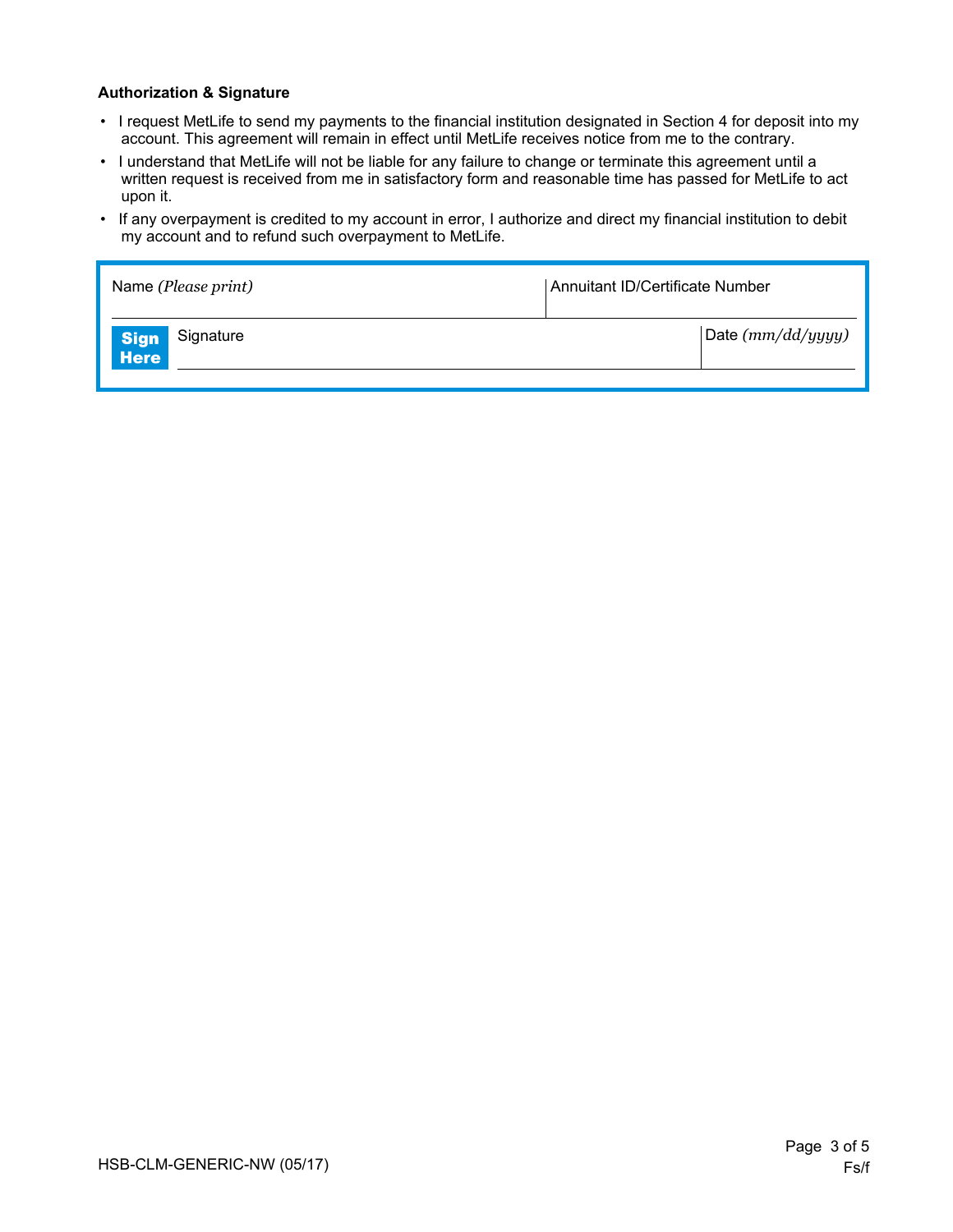#### **Authorization & Signature**

- I request MetLife to send my payments to the financial institution designated in Section 4 for deposit into my account. This agreement will remain in effect until MetLife receives notice from me to the contrary.
- I understand that MetLife will not be liable for any failure to change or terminate this agreement until a written request is received from me in satisfactory form and reasonable time has passed for MetLife to act upon it.
- If any overpayment is credited to my account in error, I authorize and direct my financial institution to debit my account and to refund such overpayment to MetLife.

| Name (Please print)       | Annuitant ID/Certificate Number |  |
|---------------------------|---------------------------------|--|
| Signature<br>Sign<br>Here | Date $(mm/dd/yyyy)$             |  |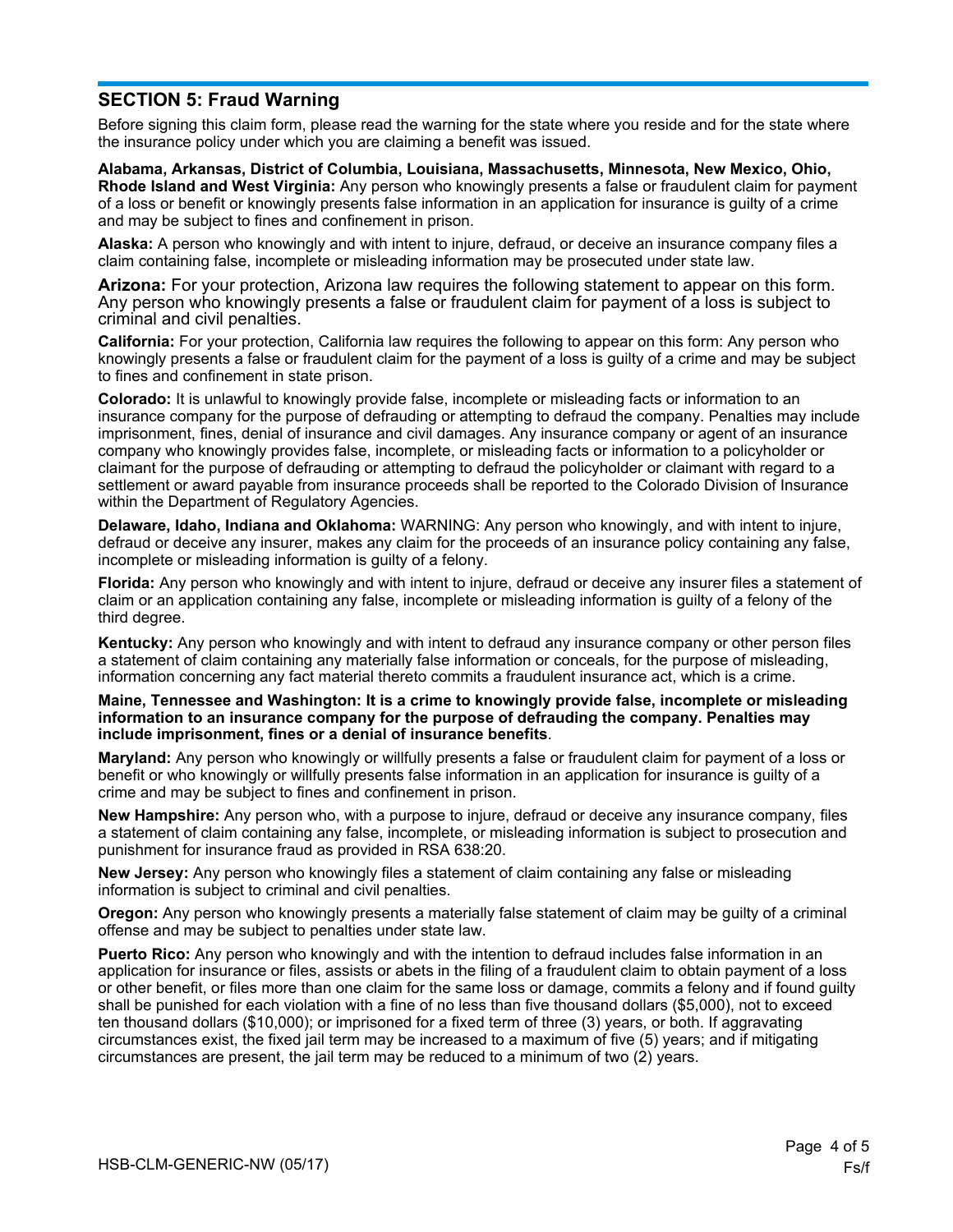## **SECTION 5: Fraud Warning**

Before signing this claim form, please read the warning for the state where you reside and for the state where the insurance policy under which you are claiming a benefit was issued.

**Alabama, Arkansas, District of Columbia, Louisiana, Massachusetts, Minnesota, New Mexico, Ohio, Rhode Island and West Virginia:** Any person who knowingly presents a false or fraudulent claim for payment of a loss or benefit or knowingly presents false information in an application for insurance is guilty of a crime and may be subject to fines and confinement in prison.

**Alaska:** A person who knowingly and with intent to injure, defraud, or deceive an insurance company files a claim containing false, incomplete or misleading information may be prosecuted under state law.

**Arizona:** For your protection, Arizona law requires the following statement to appear on this form. Any person who knowingly presents a false or fraudulent claim for payment of a loss is subject to criminal and civil penalties.

**California:** For your protection, California law requires the following to appear on this form: Any person who knowingly presents a false or fraudulent claim for the payment of a loss is guilty of a crime and may be subject to fines and confinement in state prison.

**Colorado:** It is unlawful to knowingly provide false, incomplete or misleading facts or information to an insurance company for the purpose of defrauding or attempting to defraud the company. Penalties may include imprisonment, fines, denial of insurance and civil damages. Any insurance company or agent of an insurance company who knowingly provides false, incomplete, or misleading facts or information to a policyholder or claimant for the purpose of defrauding or attempting to defraud the policyholder or claimant with regard to a settlement or award payable from insurance proceeds shall be reported to the Colorado Division of Insurance within the Department of Regulatory Agencies.

**Delaware, Idaho, Indiana and Oklahoma:** WARNING: Any person who knowingly, and with intent to injure, defraud or deceive any insurer, makes any claim for the proceeds of an insurance policy containing any false, incomplete or misleading information is guilty of a felony.

**Florida:** Any person who knowingly and with intent to injure, defraud or deceive any insurer files a statement of claim or an application containing any false, incomplete or misleading information is guilty of a felony of the third degree.

**Kentucky:** Any person who knowingly and with intent to defraud any insurance company or other person files a statement of claim containing any materially false information or conceals, for the purpose of misleading, information concerning any fact material thereto commits a fraudulent insurance act, which is a crime.

**Maine, Tennessee and Washington: It is a crime to knowingly provide false, incomplete or misleading information to an insurance company for the purpose of defrauding the company. Penalties may include imprisonment, fines or a denial of insurance benefits**.

**Maryland:** Any person who knowingly or willfully presents a false or fraudulent claim for payment of a loss or benefit or who knowingly or willfully presents false information in an application for insurance is guilty of a crime and may be subject to fines and confinement in prison.

**New Hampshire:** Any person who, with a purpose to injure, defraud or deceive any insurance company, files a statement of claim containing any false, incomplete, or misleading information is subject to prosecution and punishment for insurance fraud as provided in RSA 638:20.

**New Jersey:** Any person who knowingly files a statement of claim containing any false or misleading information is subject to criminal and civil penalties.

**Oregon:** Any person who knowingly presents a materially false statement of claim may be guilty of a criminal offense and may be subject to penalties under state law.

**Puerto Rico:** Any person who knowingly and with the intention to defraud includes false information in an application for insurance or files, assists or abets in the filing of a fraudulent claim to obtain payment of a loss or other benefit, or files more than one claim for the same loss or damage, commits a felony and if found guilty shall be punished for each violation with a fine of no less than five thousand dollars (\$5,000), not to exceed ten thousand dollars (\$10,000); or imprisoned for a fixed term of three (3) years, or both. If aggravating circumstances exist, the fixed jail term may be increased to a maximum of five (5) years; and if mitigating circumstances are present, the jail term may be reduced to a minimum of two (2) years.